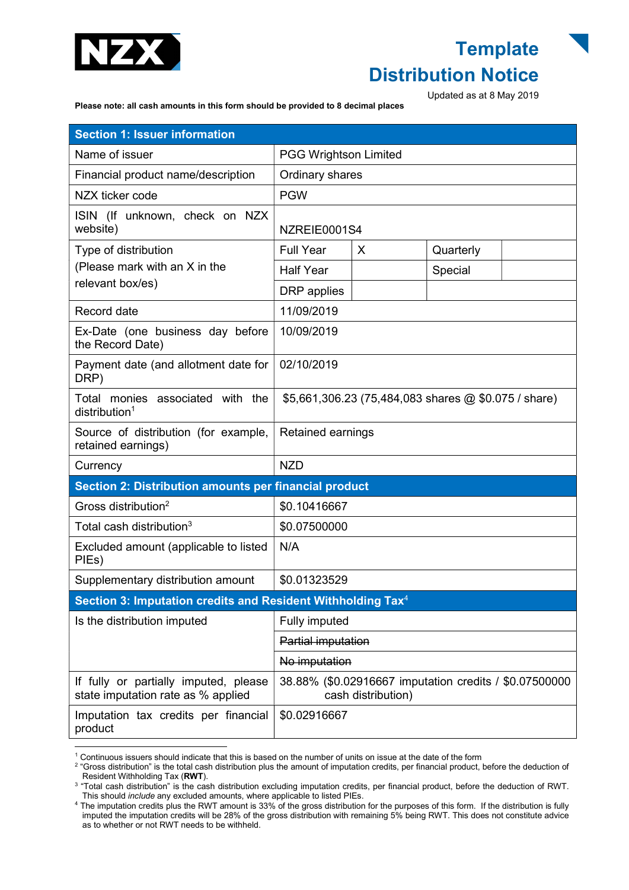

## **Template** Distribution Notice

Updated as at 8 May 2019

Please note: all cash amounts in this form should be provided to 8 decimal places

| <b>Section 1: Issuer information</b>                                        |                                                                              |   |           |  |
|-----------------------------------------------------------------------------|------------------------------------------------------------------------------|---|-----------|--|
| Name of issuer                                                              | <b>PGG Wrightson Limited</b>                                                 |   |           |  |
| Financial product name/description                                          | Ordinary shares                                                              |   |           |  |
| NZX ticker code                                                             | <b>PGW</b>                                                                   |   |           |  |
| ISIN (If unknown, check on NZX<br>website)                                  | NZREIE0001S4                                                                 |   |           |  |
| Type of distribution<br>(Please mark with an X in the<br>relevant box/es)   | <b>Full Year</b>                                                             | X | Quarterly |  |
|                                                                             | <b>Half Year</b>                                                             |   | Special   |  |
|                                                                             | DRP applies                                                                  |   |           |  |
| Record date                                                                 | 11/09/2019                                                                   |   |           |  |
| Ex-Date (one business day before<br>the Record Date)                        | 10/09/2019                                                                   |   |           |  |
| Payment date (and allotment date for<br>DRP)                                | 02/10/2019                                                                   |   |           |  |
| Total monies associated with the<br>distribution <sup>1</sup>               | \$5,661,306.23 (75,484,083 shares @ \$0.075 / share)                         |   |           |  |
| Source of distribution (for example,<br>retained earnings)                  | Retained earnings                                                            |   |           |  |
| Currency                                                                    | <b>NZD</b>                                                                   |   |           |  |
| Section 2: Distribution amounts per financial product                       |                                                                              |   |           |  |
| Gross distribution <sup>2</sup>                                             | \$0.10416667                                                                 |   |           |  |
| Total cash distribution <sup>3</sup>                                        | \$0.07500000                                                                 |   |           |  |
| Excluded amount (applicable to listed<br>PIEs)                              | N/A                                                                          |   |           |  |
| Supplementary distribution amount                                           | \$0.01323529                                                                 |   |           |  |
| Section 3: Imputation credits and Resident Withholding Tax <sup>4</sup>     |                                                                              |   |           |  |
| Is the distribution imputed                                                 | Fully imputed                                                                |   |           |  |
|                                                                             | Partial imputation                                                           |   |           |  |
|                                                                             | No imputation                                                                |   |           |  |
| If fully or partially imputed, please<br>state imputation rate as % applied | 38.88% (\$0.02916667 imputation credits / \$0.07500000<br>cash distribution) |   |           |  |
| Imputation tax credits per financial<br>product                             | \$0.02916667                                                                 |   |           |  |

 1 Continuous issuers should indicate that this is based on the number of units on issue at the date of the form

<sup>&</sup>lt;sup>2</sup> "Gross distribution" is the total cash distribution plus the amount of imputation credits, per financial product, before the deduction of Resident Withholding Tax (RWT).

<sup>&</sup>lt;sup>3</sup> "Total cash distribution" is the cash distribution excluding imputation credits, per financial product, before the deduction of RWT. This should *include* any excluded amounts, where applicable to listed PIEs.

<sup>4</sup> The imputation credits plus the RWT amount is 33% of the gross distribution for the purposes of this form. If the distribution is fully imputed the imputation credits will be 28% of the gross distribution with remaining 5% being RWT. This does not constitute advice as to whether or not RWT needs to be withheld.